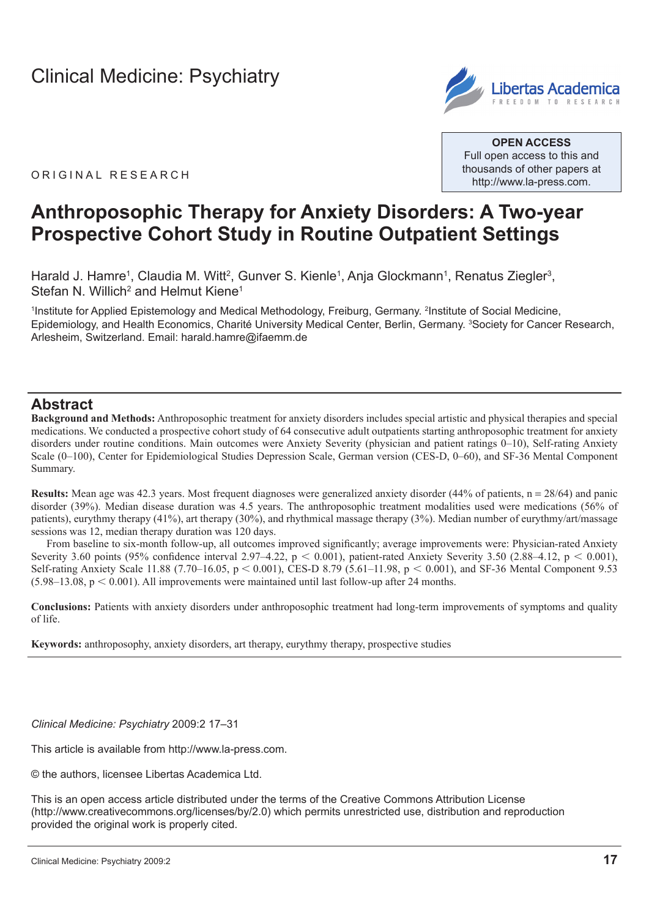

**OPEN ACCESS** Full open access to this and thousands of other papers at <http://www.la-press.com>.

ORIGINAL RESEARCH

# **Anthroposophic Therapy for Anxiety Disorders: A Two-year Prospective Cohort Study in Routine Outpatient Settings**

Harald J. Hamre<sup>1</sup>, Claudia M. Witt<sup>2</sup>, Gunver S. Kienle<sup>1</sup>, Anja Glockmann<sup>1</sup>, Renatus Ziegler<sup>3</sup>, Stefan N. Willich<sup>2</sup> and Helmut Kiene<sup>1</sup>

<sup>1</sup>Institute for Applied Epistemology and Medical Methodology, Freiburg, Germany. <sup>2</sup>Institute of Social Medicine, Epidemiology, and Health Economics, Charité University Medical Center, Berlin, Germany. <sup>3</sup>Society for Cancer Research, Arlesheim, Switzerland. Email: [harald.hamre@ifaemm.de](mailto:harald.hamre@ifaemm.de)

### **Abstract**

**Background and Methods:** Anthroposophic treatment for anxiety disorders includes special artistic and physical therapies and special medications. We conducted a prospective cohort study of 64 consecutive adult outpatients starting anthroposophic treatment for anxiety disorders under routine conditions. Main outcomes were Anxiety Severity (physician and patient ratings 0–10), Self-rating Anxiety Scale (0–100), Center for Epidemiological Studies Depression Scale, German version (CES-D, 0–60), and SF-36 Mental Component Summary.

**Results:** Mean age was 42.3 years. Most frequent diagnoses were generalized anxiety disorder (44% of patients, n = 28/64) and panic disorder (39%). Median disease duration was 4.5 years. The anthroposophic treatment modalities used were medications (56% of patients), eurythmy therapy (41%), art therapy (30%), and rhythmical massage therapy (3%). Median number of eurythmy/art/massage sessions was 12, median therapy duration was 120 days.

From baseline to six-month follow-up, all outcomes improved significantly; average improvements were: Physician-rated Anxiety Severity 3.60 points (95% confidence interval 2.97–4.22,  $p < 0.001$ ), patient-rated Anxiety Severity 3.50 (2.88–4.12,  $p < 0.001$ ), Self-rating Anxiety Scale 11.88 (7.70–16.05,  $p < 0.001$ ), CES-D 8.79 (5.61–11.98,  $p < 0.001$ ), and SF-36 Mental Component 9.53  $(5.98-13.08, p < 0.001)$ . All improvements were maintained until last follow-up after 24 months.

**Conclusions:** Patients with anxiety disorders under anthroposophic treatment had long-term improvements of symptoms and quality of life.

**Keywords:** anthroposophy, anxiety disorders, art therapy, eurythmy therapy, prospective studies

*Clinical Medicine: Psychiatry* 2009:2 17–31

This article is available from [http://www.la-press.com.](http://www.la-press.com)

© the authors, licensee Libertas Academica Ltd.

This is an open access article distributed under the terms of the Creative Commons Attribution License (<http://www.creativecommons.org/licenses/by/2.0>) which permits unrestricted use, distribution and reproduction provided the original work is properly cited.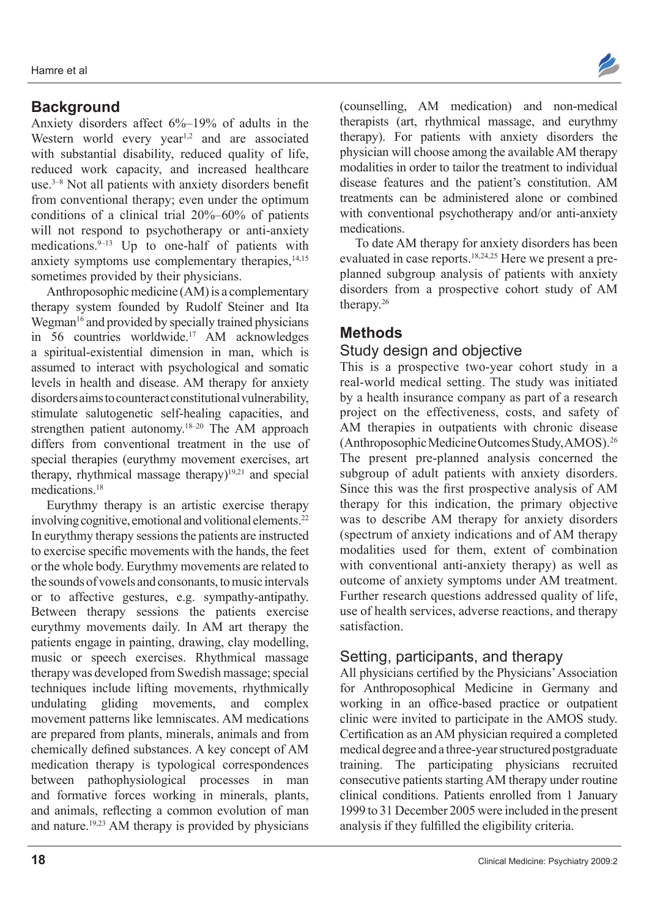# **Background**

Anxiety disorders affect 6%–19% of adults in the Western world every year<sup>1,2</sup> and are associated with substantial disability, reduced quality of life, reduced work capacity, and increased healthcare use. $3-8$  Not all patients with anxiety disorders benefit from conventional therapy; even under the optimum conditions of a clinical trial 20%–60% of patients will not respond to psychotherapy or anti-anxiety medications. $9-13$  Up to one-half of patients with anxiety symptoms use complementary therapies, $14,15$ sometimes provided by their physicians.

Anthroposophic medicine (AM) is a complementary therapy system founded by Rudolf Steiner and Ita Wegman<sup>16</sup> and provided by specially trained physicians in  $56$  countries worldwide.<sup>17</sup> AM acknowledges a spiritual-existential dimension in man, which is assumed to interact with psychological and somatic levels in health and disease. AM therapy for anxiety disorders aims to counteract constitutional vulnerability, stimulate salutogenetic self-healing capacities, and strengthen patient autonomy.<sup>18–20</sup> The AM approach differs from conventional treatment in the use of special therapies (eurythmy movement exercises, art therapy, rhythmical massage therapy) $19,21$  and special medications<sup>18</sup>

Eurythmy therapy is an artistic exercise therapy involving cognitive, emotional and volitional elements.<sup>22</sup> In eurythmy therapy sessions the patients are instructed to exercise specific movements with the hands, the feet or the whole body. Eurythmy movements are related to the sounds of vowels and consonants, to music intervals or to affective gestures, e.g. sympathy-antipathy. Between therapy sessions the patients exercise eurythmy movements daily. In AM art therapy the patients engage in painting, drawing, clay modelling, music or speech exercises. Rhythmical massage therapy was developed from Swedish massage; special techniques include lifting movements, rhythmically undulating gliding movements, and complex movement patterns like lemniscates. AM medications are prepared from plants, minerals, animals and from chemically defined substances. A key concept of AM medication therapy is typological correspondences between pathophysiological processes in man and formative forces working in minerals, plants, and animals, reflecting a common evolution of man and nature.<sup>19,23</sup> AM therapy is provided by physicians



(counselling, AM medication) and non-medical therapists (art, rhythmical massage, and eurythmy therapy). For patients with anxiety disorders the physician will choose among the available AM therapy modalities in order to tailor the treatment to individual disease features and the patient's constitution. AM treatments can be administered alone or combined with conventional psychotherapy and/or anti-anxiety medications.

To date AM therapy for anxiety disorders has been evaluated in case reports.18,24,25 Here we present a preplanned subgroup analysis of patients with anxiety disorders from a prospective cohort study of AM therapy.26

# **Methods**

# Study design and objective

This is a prospective two-year cohort study in a real-world medical setting. The study was initiated by a health insurance company as part of a research project on the effectiveness, costs, and safety of AM therapies in outpatients with chronic disease (Anthroposophic Medicine Outcomes Study, AMOS).26 The present pre-planned analysis concerned the subgroup of adult patients with anxiety disorders. Since this was the first prospective analysis of AM therapy for this indication, the primary objective was to describe AM therapy for anxiety disorders (spectrum of anxiety indications and of AM therapy modalities used for them, extent of combination with conventional anti-anxiety therapy) as well as outcome of anxiety symptoms under AM treatment. Further research questions addressed quality of life, use of health services, adverse reactions, and therapy satisfaction.

# Setting, participants, and therapy

All physicians certified by the Physicians' Association for Anthroposophical Medicine in Germany and working in an office-based practice or outpatient clinic were invited to participate in the AMOS study. Certification as an AM physician required a completed medical degree and a three-year structured postgraduate training. The participating physicians recruited consecutive patients starting AM therapy under routine clinical conditions. Patients enrolled from 1 January 1999 to 31 December 2005 were included in the present analysis if they fulfilled the eligibility criteria.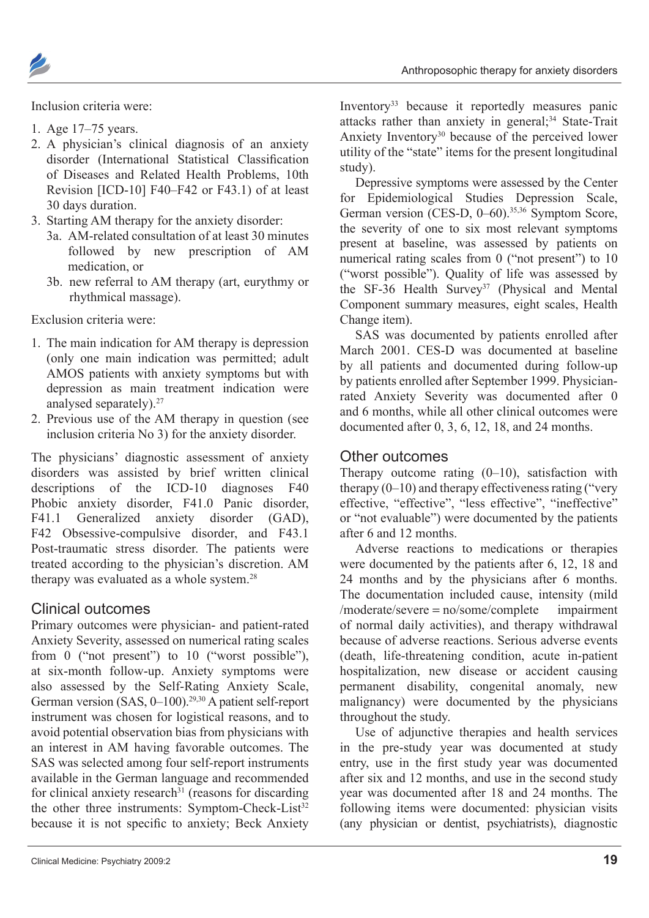Anthroposophic therapy for anxiety disorders

Inclusion criteria were:

- 1. Age  $17-75$  years.
- 2. A physician's clinical diagnosis of an anxiety disorder (International Statistical Classification of Diseases and Related Health Problems, 10th Revision [ICD-10] F40–F42 or F43.1) of at least 30 days duration.
- 3. Starting AM therapy for the anxiety disorder:
	- 3a. AM-related consultation of at least 30 minutes followed by new prescription of AM medication, or
	- 3b. new referral to AM therapy (art, eurythmy or rhythmical massage).

Exclusion criteria were:

- 1. The main indication for AM therapy is depression (only one main indication was permitted; adult AMOS patients with anxiety symptoms but with depression as main treatment indication were analysed separately).
- 2. Previous use of the AM therapy in question (see inclusion criteria No 3) for the anxiety disorder.

The physicians' diagnostic assessment of anxiety disorders was assisted by brief written clinical descriptions of the ICD-10 diagnoses F40 Phobic anxiety disorder, F41.0 Panic disorder, F41.1 Generalized anxiety disorder (GAD), F42 Obsessive-compulsive disorder, and F43.1 Post-traumatic stress disorder. The patients were treated according to the physician's discretion. AM therapy was evaluated as a whole system.<sup>28</sup>

### Clinical outcomes

Primary outcomes were physician- and patient-rated Anxiety Severity, assessed on numerical rating scales from 0 ("not present") to 10 ("worst possible"), at six-month follow-up. Anxiety symptoms were also assessed by the Self-Rating Anxiety Scale, German version (SAS, 0–100).29,30 A patient self-report instrument was chosen for logistical reasons, and to avoid potential observation bias from physicians with an interest in AM having favorable outcomes. The SAS was selected among four self-report instruments available in the German language and recommended for clinical anxiety research $31$  (reasons for discarding the other three instruments: Symptom-Check-List<sup>32</sup> because it is not specific to anxiety; Beck Anxiety

Inventory33 because it reportedly measures panic attacks rather than anxiety in general;<sup>34</sup> State-Trait Anxiety Inventory<sup>30</sup> because of the perceived lower utility of the "state" items for the present longitudinal study).

Depressive symptoms were assessed by the Center for Epidemiological Studies Depression Scale, German version (CES-D, 0–60).<sup>35,36</sup> Symptom Score, the severity of one to six most relevant symptoms present at baseline, was assessed by patients on numerical rating scales from 0 ("not present") to 10 ("worst possible"). Quality of life was assessed by the SF-36 Health Survey<sup>37</sup> (Physical and Mental Component summary measures, eight scales, Health Change item).

SAS was documented by patients enrolled after March 2001. CES-D was documented at baseline by all patients and documented during follow-up by patients enrolled after September 1999. Physicianrated Anxiety Severity was documented after 0 and 6 months, while all other clinical outcomes were documented after 0, 3, 6, 12, 18, and 24 months.

### Other outcomes

Therapy outcome rating  $(0-10)$ , satisfaction with therapy  $(0-10)$  and therapy effectiveness rating ("very effective, "effective", "less effective", "ineffective" or "not evaluable") were documented by the patients after 6 and 12 months.

Adverse reactions to medications or therapies were documented by the patients after 6, 12, 18 and 24 months and by the physicians after 6 months. The documentation included cause, intensity (mild  $/moderate/severe = no/some/complete$  impairment of normal daily activities), and therapy withdrawal because of adverse reactions. Serious adverse events (death, life-threatening condition, acute in-patient hospitalization, new disease or accident causing permanent disability, congenital anomaly, new malignancy) were documented by the physicians throughout the study.

Use of adjunctive therapies and health services in the pre-study year was documented at study entry, use in the first study year was documented after six and 12 months, and use in the second study year was documented after 18 and 24 months. The following items were documented: physician visits (any physician or dentist, psychiatrists), diagnostic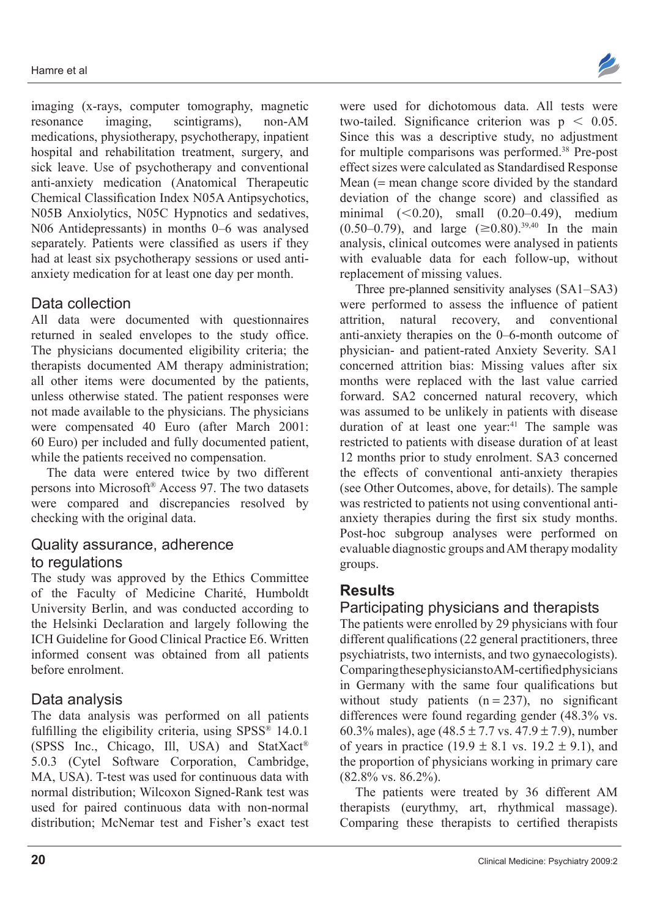imaging (x-rays, computer tomography, magnetic resonance imaging, scintigrams), non-AM medications, physiotherapy, psychotherapy, inpatient hospital and rehabilitation treatment, surgery, and sick leave. Use of psychotherapy and conventional anti-anxiety medication (Anatomical Therapeutic Chemical Classification Index N05A Antipsychotics, N05B Anxiolytics, N05C Hypnotics and sedatives, N06 Antidepressants) in months 0–6 was analysed separately. Patients were classified as users if they had at least six psychotherapy sessions or used antianxiety medication for at least one day per month.

# Data collection

All data were documented with questionnaires returned in sealed envelopes to the study office. The physicians documented eligibility criteria; the therapists documented AM therapy administration; all other items were documented by the patients, unless otherwise stated. The patient responses were not made available to the physicians. The physicians were compensated 40 Euro (after March 2001: 60 Euro) per included and fully documented patient, while the patients received no compensation.

The data were entered twice by two different persons into Microsoft<sup>®</sup> Access 97. The two datasets were compared and discrepancies resolved by checking with the original data.

## Quality assurance, adherence to regulations

The study was approved by the Ethics Committee of the Faculty of Medicine Charité, Humboldt University Berlin, and was conducted according to the Helsinki Declaration and largely following the ICH Guideline for Good Clinical Practice E6. Written informed consent was obtained from all patients before enrolment.

# Data analysis

The data analysis was performed on all patients fulfilling the eligibility criteria, using  $SPSS^{\otimes} 14.0.1$ (SPSS Inc., Chicago, Ill, USA) and StatXact<sup>®</sup> 5.0.3 (Cytel Software Corporation, Cambridge, MA, USA). T-test was used for continuous data with normal distribution; Wilcoxon Signed-Rank test was used for paired continuous data with non-normal distribution: McNemar test and Fisher's exact test were used for dichotomous data. All tests were two-tailed. Significance criterion was  $p \leq 0.05$ . Since this was a descriptive study, no adjustment for multiple comparisons was performed.<sup>38</sup> Pre-post effect sizes were calculated as Standardised Response Mean  $($  mean change score divided by the standard deviation of the change score) and classified as minimal  $(<0.20$ ), small  $(0.20-0.49)$ , medium  $(0.50-0.79)$ , and large  $(\geq 0.80)$ <sup>39,40</sup> In the main analysis, clinical outcomes were analysed in patients with evaluable data for each follow-up, without replacement of missing values.

Three pre-planned sensitivity analyses (SA1–SA3) were performed to assess the influence of patient attrition, natural recovery, and conventional anti-anxiety therapies on the 0–6-month outcome of physician- and patient-rated Anxiety Severity. SA1 concerned attrition bias: Missing values after six months were replaced with the last value carried forward. SA2 concerned natural recovery, which was assumed to be unlikely in patients with disease duration of at least one year.<sup>41</sup> The sample was restricted to patients with disease duration of at least 12 months prior to study enrolment. SA3 concerned the effects of conventional anti-anxiety therapies (see Other Outcomes, above, for details). The sample was restricted to patients not using conventional antianxiety therapies during the first six study months. Post-hoc subgroup analyses were performed on evaluable diagnostic groups and AM therapy modality groups.

# **Results**

# Participating physicians and therapists

The patients were enrolled by 29 physicians with four different qualifications  $(22 \text{ general practitioners},$  three psychiatrists, two internists, and two gynaecologists).  $Comparing these physics in a K-AM-certified physics in a linear transformation.$ in Germany with the same four qualifications but without study patients  $(n = 237)$ , no significant differences were found regarding gender (48.3% vs. 60.3% males), age  $(48.5 \pm 7.7 \text{ vs. } 47.9 \pm 7.9)$ , number of years in practice (19.9  $\pm$  8.1 vs. 19.2  $\pm$  9.1), and the proportion of physicians working in primary care (82.8% vs. 86.2%).

The patients were treated by 36 different AM therapists (eurythmy, art, rhythmical massage). Comparing these therapists to certified therapists

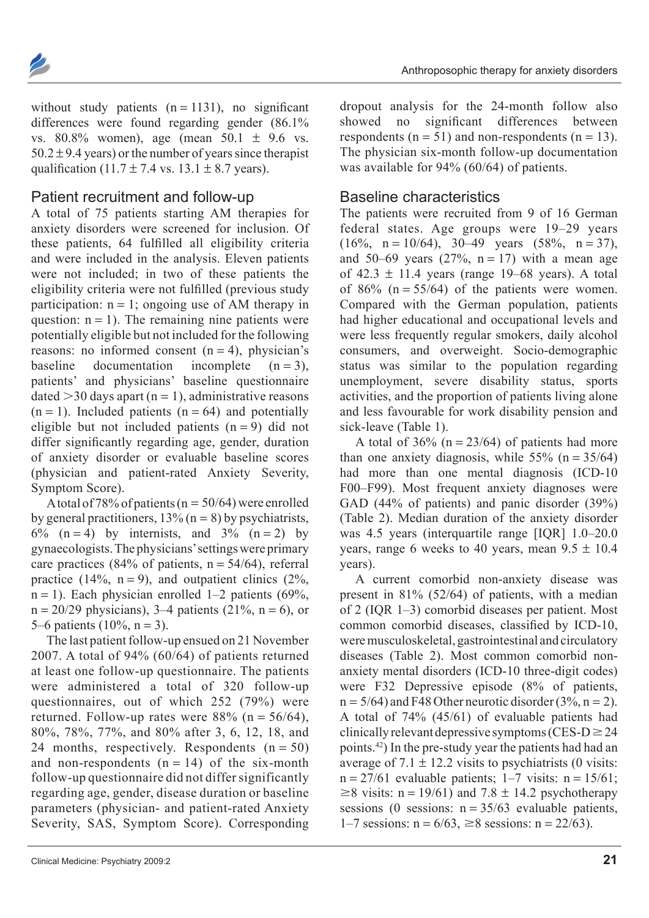

without study patients  $(n = 1131)$ , no significant differences were found regarding gender (86.1% vs.  $80.8\%$  women), age (mean  $50.1 \pm 9.6$  vs.  $50.2 \pm 9.4$  years) or the number of years since therapist qualification  $(11.7 \pm 7.4 \text{ vs. } 13.1 \pm 8.7 \text{ years})$ .

### Patient recruitment and follow-up

A total of 75 patients starting AM therapies for anxiety disorders were screened for inclusion. Of these patients, 64 fulfilled all eligibility criteria and were included in the analysis. Eleven patients were not included; in two of these patients the eligibility criteria were not fulfilled (previous study participation:  $n = 1$ ; ongoing use of AM therapy in question:  $n = 1$ ). The remaining nine patients were potentially eligible but not included for the following reasons: no informed consent  $(n = 4)$ , physician's baseline documentation incomplete  $(n = 3)$ , patients' and physicians' baseline questionnaire dated  $>$ 30 days apart (n = 1), administrative reasons  $(n = 1)$ . Included patients  $(n = 64)$  and potentially eligible but not included patients  $(n = 9)$  did not differ significantly regarding age, gender, duration of anxiety disorder or evaluable baseline scores (physician and patient-rated Anxiety Severity, Symptom Score).

A total of 78% of patients ( $n = 50/64$ ) were enrolled by general practitioners,  $13\%$  (n = 8) by psychiatrists,  $6\%$  (n = 4) by internists, and  $3\%$  (n = 2) by gynaecologists. The physicians' settings were primary care practices (84% of patients,  $n = 54/64$ ), referral practice (14%,  $n = 9$ ), and outpatient clinics (2%,  $n = 1$ ). Each physician enrolled 1–2 patients (69%,  $n = 20/29$  physicians), 3–4 patients (21%,  $n = 6$ ), or 5–6 patients  $(10\%, n = 3)$ .

The last patient follow-up ensued on 21 November 2007. A total of 94%  $(60/64)$  of patients returned at least one follow-up questionnaire. The patients were administered a total of 320 follow-up questionnaires, out of which  $252$  (79%) were returned. Follow-up rates were  $88\%$  (n = 56/64), 80%, 78%, 77%, and 80% after 3, 6, 12, 18, and 24 months, respectively. Respondents  $(n = 50)$ and non-respondents  $(n = 14)$  of the six-month follow-up questionnaire did not differ significantly regarding age, gender, disease duration or baseline parameters (physician- and patient-rated Anxiety Severity, SAS, Symptom Score). Corresponding

Clinical Medicine: Psychiatry 2009:2 **21**

dropout analysis for the 24-month follow also showed no significant differences between respondents ( $n = 51$ ) and non-respondents ( $n = 13$ ). The physician six-month follow-up documentation was available for 94% (60/64) of patients.

### Baseline characteristics

The patients were recruited from 9 of 16 German federal states. Age groups were 19–29 years  $(16\%, n = 10/64), 30-49 \text{ years } (58\%, n = 37),$ and 50–69 years  $(27\%, n = 17)$  with a mean age of  $42.3 \pm 11.4$  years (range 19–68 years). A total of 86% ( $n = 55/64$ ) of the patients were women. Compared with the German population, patients had higher educational and occupational levels and were less frequently regular smokers, daily alcohol consumers, and overweight. Socio-demographic status was similar to the population regarding unemployment, severe disability status, sports activities, and the proportion of patients living alone and less favourable for work disability pension and sick-leave (Table 1).

A total of  $36\%$  (n =  $23/64$ ) of patients had more than one anxiety diagnosis, while  $55\%$  (n =  $35/64$ ) had more than one mental diagnosis (ICD-10) F00–F99). Most frequent anxiety diagnoses were GAD (44% of patients) and panic disorder (39%) (Table 2). Median duration of the anxiety disorder was 4.5 years (interquartile range [IQR] 1.0–20.0 years, range 6 weeks to 40 years, mean  $9.5 \pm 10.4$ years).

A current comorbid non-anxiety disease was present in 81% (52/64) of patients, with a median of 2 (IQR 1–3) comorbid diseases per patient. Most common comorbid diseases, classified by ICD-10, were musculoskeletal, gastrointestinal and circulatory diseases (Table 2). Most common comorbid nonanxiety mental disorders (ICD-10 three-digit codes) were F32 Depressive episode (8% of patients,  $n = 5/64$ ) and F48 Other neurotic disorder (3%,  $n = 2$ ). A total of  $74\%$  (45/61) of evaluable patients had clinically relevant depressive symptoms (CES-D $\geq$ 24 points.42) In the pre-study year the patients had had an average of 7.1  $\pm$  12.2 visits to psychiatrists (0 visits:  $n = 27/61$  evaluable patients;  $1-7$  visits:  $n = 15/61$ ;  $\geq$ 8 visits: n = 19/61) and 7.8  $\pm$  14.2 psychotherapy sessions (0 sessions:  $n = 35/63$  evaluable patients,  $1-7$  sessions:  $n = 6/63$ ,  $\geq 8$  sessions:  $n = 22/63$ ).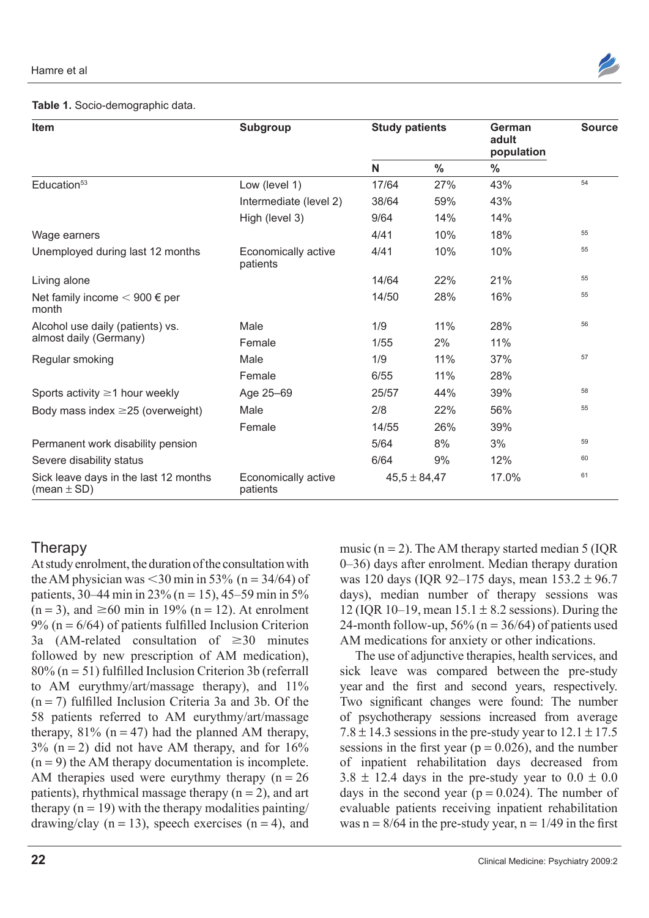

### **Table 1.** Socio-demographic data.

| Item                                                                                        | Subgroup                        | <b>Study patients</b> |               | German<br>adult<br>population | <b>Source</b> |
|---------------------------------------------------------------------------------------------|---------------------------------|-----------------------|---------------|-------------------------------|---------------|
|                                                                                             |                                 | N                     | $\frac{0}{0}$ | $\frac{0}{0}$                 |               |
| Education <sup>53</sup>                                                                     | Low (level 1)                   | 17/64                 | 27%           | 43%                           | 54            |
|                                                                                             | Intermediate (level 2)          | 38/64                 | 59%           | 43%                           |               |
|                                                                                             | High (level 3)                  | 9/64                  | 14%           | 14%                           |               |
| Wage earners                                                                                |                                 | 4/41                  | 10%           | 18%                           | 55            |
| Unemployed during last 12 months                                                            | Economically active<br>patients | 4/41                  | 10%           | 10%                           | 55            |
| Living alone                                                                                |                                 | 14/64                 | 22%           | 21%                           | 55            |
| Net family income $< 900 \in$ per<br>month                                                  |                                 | 14/50                 | 28%           | 16%                           | 55            |
| Alcohol use daily (patients) vs.                                                            | Male                            | 1/9                   | 11%           | 28%                           | 56            |
| almost daily (Germany)                                                                      | Female                          | 1/55                  | 2%            | 11%                           |               |
| Regular smoking                                                                             | Male                            | 1/9                   | 11%           | 37%                           | 57            |
|                                                                                             | Female                          | 6/55                  | 11%           | 28%                           |               |
| Sports activity $\geq$ 1 hour weekly                                                        | Age 25-69                       | 25/57                 | 44%           | 39%                           | 58            |
| Body mass index $\geq$ 25 (overweight)                                                      | Male                            | 2/8                   | 22%           | 56%                           | 55            |
|                                                                                             | Female                          | 14/55                 | 26%           | 39%                           |               |
| Permanent work disability pension                                                           |                                 | 5/64                  | 8%            | 3%                            | 59            |
| Severe disability status                                                                    |                                 | 6/64                  | 9%            | 12%                           | 60            |
| Sick leave days in the last 12 months<br>Economically active<br>patients<br>(mean $\pm$ SD) |                                 | $45,5 \pm 84,47$      |               | 17.0%                         | 61            |

## **Therapy**

At study enrolment, the duration of the consultation with the AM physician was  $\leq$ 30 min in 53% (n = 34/64) of patients,  $30-44$  min in  $23\%$  (n = 15),  $45-59$  min in  $5\%$  $(n = 3)$ , and  $\geq 60$  min in 19%  $(n = 12)$ . At enrolment  $9\%$  (n = 6/64) of patients fulfilled Inclusion Criterion 3a (AM-related consultation of  $\geq 30$  minutes followed by new prescription of AM medication),  $80\%$  (n = 51) fulfilled Inclusion Criterion 3b (referrall to AM eurythmy/art/massage therapy), and 11%  $(n = 7)$  fulfilled Inclusion Criteria 3a and 3b. Of the 58 patients referred to AM eurythmy/art/massage therapy,  $81\%$  (n = 47) had the planned AM therapy,  $3\%$  (n = 2) did not have AM therapy, and for  $16\%$  $(n = 9)$  the AM therapy documentation is incomplete. AM therapies used were eurythmy therapy  $(n = 26$ patients), rhythmical massage therapy  $(n = 2)$ , and art therapy  $(n = 19)$  with the therapy modalities painting/ drawing/clay ( $n = 13$ ), speech exercises ( $n = 4$ ), and music ( $n = 2$ ). The AM therapy started median 5 (IQR) 0–36) days after enrolment. Median therapy duration was 120 days (IOR 92-175 days, mean  $153.2 \pm 96.7$ days), median number of therapy sessions was 12 (IQR 10–19, mean  $15.1 \pm 8.2$  sessions). During the 24-month follow-up,  $56\%$  (n = 36/64) of patients used AM medications for anxiety or other indications.

The use of adjunctive therapies, health services, and sick leave was compared between the pre-study year and the first and second years, respectively. Two significant changes were found: The number of psychotherapy sessions increased from average  $7.8 \pm 14.3$  sessions in the pre-study year to  $12.1 \pm 17.5$ sessions in the first year ( $p = 0.026$ ), and the number of inpatient rehabilitation days decreased from  $3.8 \pm 12.4$  days in the pre-study year to  $0.0 \pm 0.0$ days in the second year ( $p = 0.024$ ). The number of evaluable patients receiving inpatient rehabilitation was  $n = 8/64$  in the pre-study year,  $n = 1/49$  in the first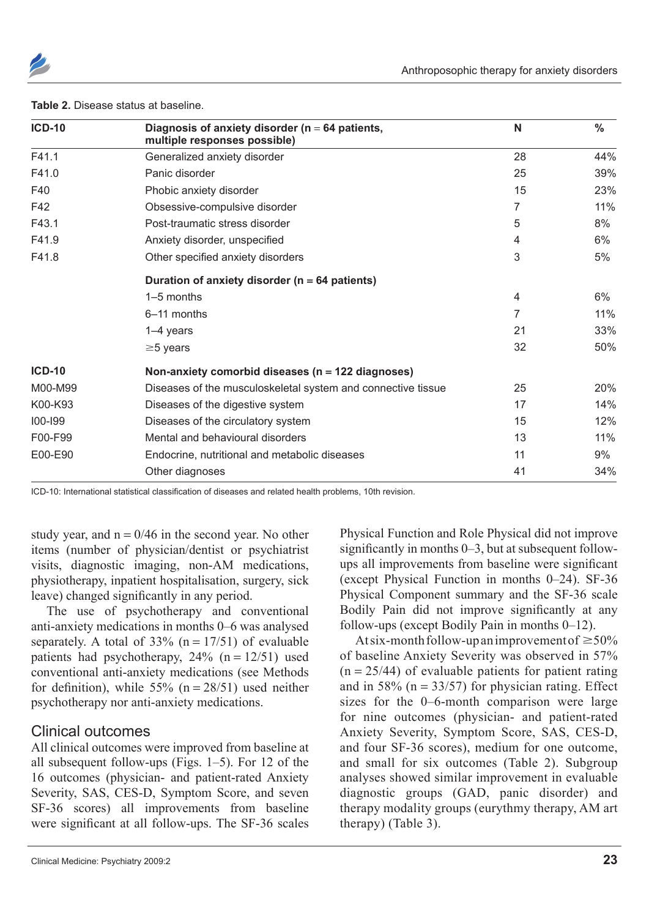

| <b>ICD-10</b> | Diagnosis of anxiety disorder ( $n = 64$ patients,<br>multiple responses possible) | N  | $\frac{0}{0}$ |  |  |  |  |
|---------------|------------------------------------------------------------------------------------|----|---------------|--|--|--|--|
| F41.1         | Generalized anxiety disorder                                                       | 28 | 44%           |  |  |  |  |
| F41.0         | Panic disorder                                                                     | 25 | 39%           |  |  |  |  |
| F40           | Phobic anxiety disorder                                                            | 15 | 23%           |  |  |  |  |
| F42           | Obsessive-compulsive disorder                                                      | 7  | 11%           |  |  |  |  |
| F43.1         | Post-traumatic stress disorder                                                     | 5  | 8%            |  |  |  |  |
| F41.9         | Anxiety disorder, unspecified                                                      | 4  | 6%            |  |  |  |  |
| F41.8         | Other specified anxiety disorders                                                  | 3  | 5%            |  |  |  |  |
|               | Duration of anxiety disorder ( $n = 64$ patients)                                  |    |               |  |  |  |  |
|               | 1-5 months                                                                         | 4  | 6%            |  |  |  |  |
|               | 6-11 months                                                                        | 7  | 11%           |  |  |  |  |
|               | 1-4 years                                                                          | 21 | 33%           |  |  |  |  |
|               | $\geq$ 5 years                                                                     | 32 | 50%           |  |  |  |  |
| <b>ICD-10</b> | Non-anxiety comorbid diseases ( $n = 122$ diagnoses)                               |    |               |  |  |  |  |
| M00-M99       | Diseases of the musculoskeletal system and connective tissue                       | 25 | 20%           |  |  |  |  |
| K00-K93       | Diseases of the digestive system                                                   | 17 | 14%           |  |  |  |  |
| 100-199       | Diseases of the circulatory system                                                 | 15 | 12%           |  |  |  |  |
| F00-F99       | Mental and behavioural disorders                                                   | 13 | 11%           |  |  |  |  |
| E00-E90       | Endocrine, nutritional and metabolic diseases                                      | 11 | 9%            |  |  |  |  |
|               | Other diagnoses                                                                    | 41 | 34%           |  |  |  |  |

#### **Table 2.** Disease status at baseline.

ICD-10: International statistical classification of diseases and related health problems, 10th revision.

study year, and  $n = 0/46$  in the second year. No other items (number of physician/dentist or psychiatrist visits, diagnostic imaging, non-AM medications, physiotherapy, inpatient hospitalisation, surgery, sick leave) changed significantly in any period.

The use of psychotherapy and conventional anti-anxiety medications in months 0–6 was analysed separately. A total of  $33\%$  (n = 17/51) of evaluable patients had psychotherapy,  $24\%$  (n = 12/51) used conventional anti-anxiety medications (see Methods for definition), while  $55\%$  (n = 28/51) used neither psychotherapy nor anti-anxiety medications.

### Clinical outcomes

All clinical outcomes were improved from baseline at all subsequent follow-ups (Figs. 1–5). For 12 of the 16 outcomes (physician- and patient-rated Anxiety Severity, SAS, CES-D, Symptom Score, and seven SF-36 scores) all improvements from baseline were significant at all follow-ups. The SF-36 scales

Physical Function and Role Physical did not improve significantly in months  $0-3$ , but at subsequent followups all improvements from baseline were significant (except Physical Function in months  $0-24$ ). SF-36 Physical Component summary and the SF-36 scale Bodily Pain did not improve significantly at any follow-ups (except Bodily Pain in months  $0-12$ ).

At six-month follow-up an improvement of  $\geq 50\%$ of baseline Anxiety Severity was observed in 57%  $(n = 25/44)$  of evaluable patients for patient rating and in 58% ( $n = 33/57$ ) for physician rating. Effect sizes for the 0–6-month comparison were large for nine outcomes (physician- and patient-rated Anxiety Severity, Symptom Score, SAS, CES-D, and four SF-36 scores), medium for one outcome, and small for six outcomes (Table 2). Subgroup analyses showed similar improvement in evaluable diagnostic groups (GAD, panic disorder) and therapy modality groups (eurythmy therapy, AM art therapy) (Table 3).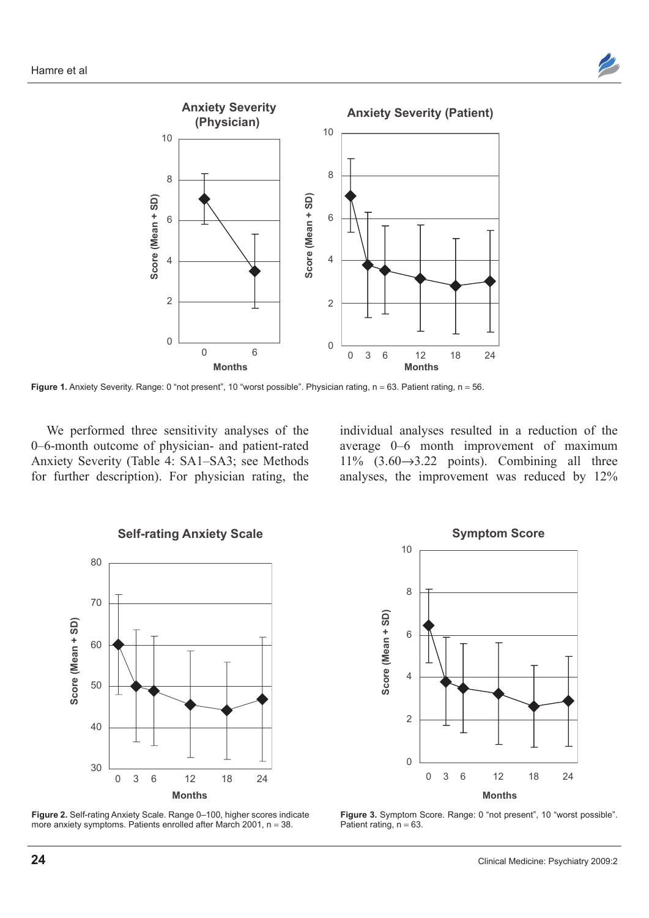



Figure 1. Anxiety Severity. Range: 0 "not present", 10 "worst possible". Physician rating, n = 63. Patient rating, n = 56.

We performed three sensitivity analyses of the 0–6-month outcome of physician- and patient-rated Anxiety Severity (Table 4: SA1–SA3; see Methods for further description). For physician rating, the individual analyses resulted in a reduction of the average 0–6 month improvement of maximum 11%  $(3.60 \rightarrow 3.22$  points). Combining all three analyses, the improvement was reduced by 12%







**Figure 3.** Symptom Score. Range: 0 "not present", 10 "worst possible". Patient rating,  $n = 63$ .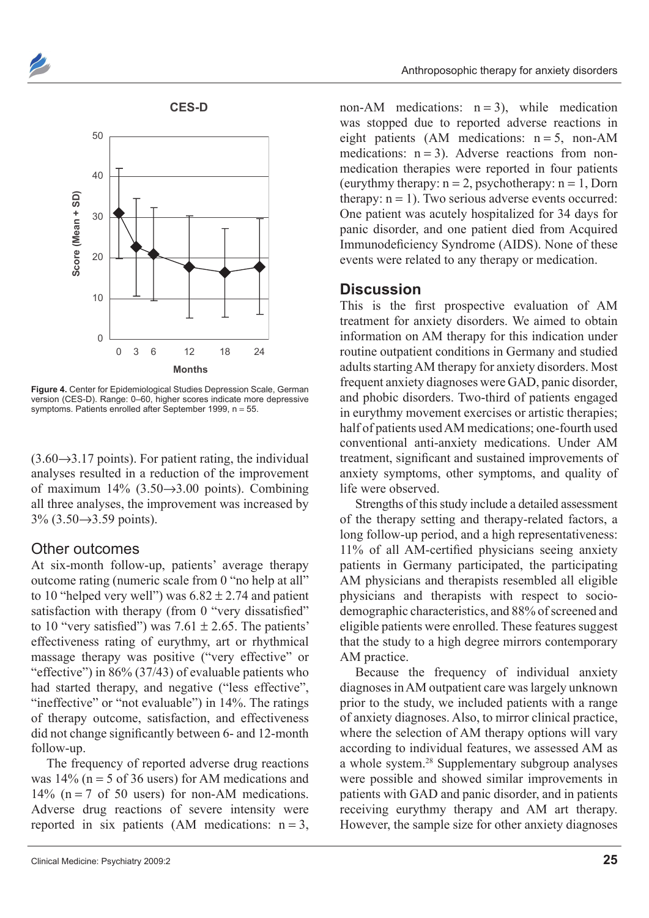



**Figure 4.** Center for Epidemiological Studies Depression Scale, German version (CES-D). Range: 0–60, higher scores indicate more depressive symptoms. Patients enrolled after September 1999,  $n = 55$ .

 $(3.60\rightarrow3.17$  points). For patient rating, the individual analyses resulted in a reduction of the improvement of maximum  $14\%$  (3.50 $\rightarrow$ 3.00 points). Combining all three analyses, the improvement was increased by  $3\% (3.50 \rightarrow 3.59 \text{ points}).$ 

### Other outcomes

At six-month follow-up, patients' average therapy outcome rating (numeric scale from 0 "no help at all" to 10 "helped very well") was  $6.82 \pm 2.74$  and patient satisfaction with therapy (from 0 "very dissatisfied" to 10 "very satisfied") was  $7.61 \pm 2.65$ . The patients' effectiveness rating of eurythmy, art or rhythmical massage therapy was positive ("very effective" or "effective") in  $86\%$  (37/43) of evaluable patients who had started therapy, and negative ("less effective", "ineffective" or "not evaluable") in 14%. The ratings of therapy outcome, satisfaction, and effectiveness did not change significantly between 6- and 12-month follow-up.

The frequency of reported adverse drug reactions was  $14\%$  (n = 5 of 36 users) for AM medications and 14% ( $n = 7$  of 50 users) for non-AM medications. Adverse drug reactions of severe intensity were reported in six patients (AM medications:  $n = 3$ , non-AM medications:  $n = 3$ ), while medication was stopped due to reported adverse reactions in eight patients (AM medications:  $n = 5$ , non-AM medications:  $n = 3$ ). Adverse reactions from nonmedication therapies were reported in four patients (eurythmy therapy:  $n = 2$ , psychotherapy:  $n = 1$ , Dorn therapy:  $n = 1$ ). Two serious adverse events occurred: One patient was acutely hospitalized for 34 days for panic disorder, and one patient died from Acquired Immunodeficiency Syndrome (AIDS). None of these events were related to any therapy or medication.

### **Discussion**

This is the first prospective evaluation of AM treatment for anxiety disorders. We aimed to obtain information on AM therapy for this indication under routine outpatient conditions in Germany and studied adults starting AM therapy for anxiety disorders. Most frequent anxiety diagnoses were GAD, panic disorder, and phobic disorders. Two-third of patients engaged in eurythmy movement exercises or artistic therapies; half of patients used AM medications: one-fourth used conventional anti-anxiety medications. Under AM treatment, significant and sustained improvements of anxiety symptoms, other symptoms, and quality of life were observed.

Strengths of this study include a detailed assessment of the therapy setting and therapy-related factors, a long follow-up period, and a high representativeness:  $11\%$  of all AM-certified physicians seeing anxiety patients in Germany participated, the participating AM physicians and therapists resembled all eligible physicians and therapists with respect to sociodemographic characteristics, and 88% of screened and eligible patients were enrolled. These features suggest that the study to a high degree mirrors contemporary AM practice.

Because the frequency of individual anxiety diagnoses in AM outpatient care was largely unknown prior to the study, we included patients with a range of anxiety diagnoses. Also, to mirror clinical practice, where the selection of AM therapy options will vary according to individual features, we assessed AM as a whole system.28 Supplementary subgroup analyses were possible and showed similar improvements in patients with GAD and panic disorder, and in patients receiving eurythmy therapy and AM art therapy. However, the sample size for other anxiety diagnoses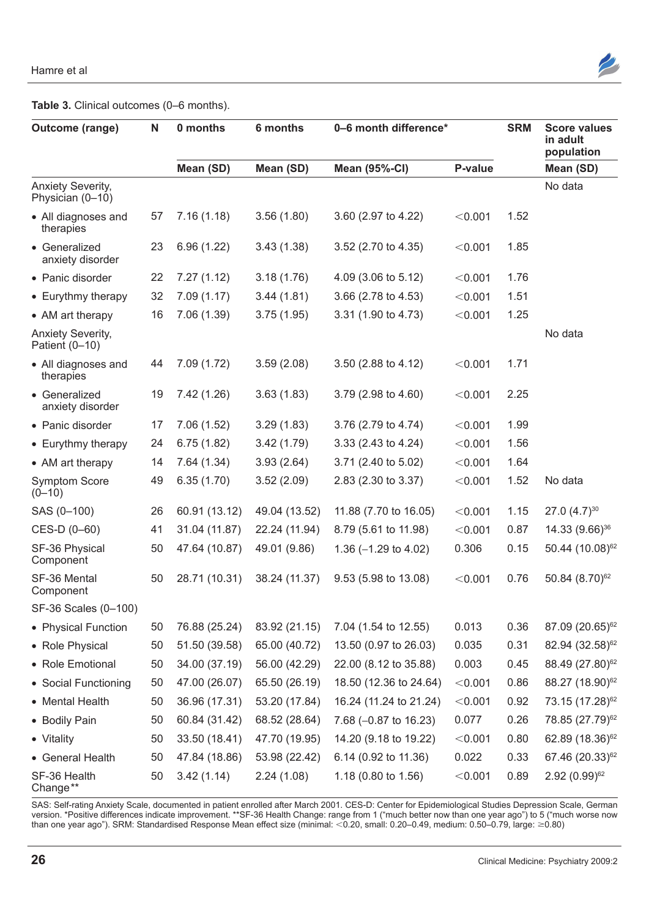

**Table 3.** Clinical outcomes (0–6 months).

| Outcome (range)                       | $\mathsf{N}$ | 0 months      | 6 months      | 0-6 month difference*   |         | <b>SRM</b> | <b>Score values</b><br>in adult<br>population |
|---------------------------------------|--------------|---------------|---------------|-------------------------|---------|------------|-----------------------------------------------|
|                                       |              | Mean (SD)     | Mean (SD)     | <b>Mean (95%-CI)</b>    | P-value |            | Mean (SD)                                     |
| Anxiety Severity,<br>Physician (0-10) |              |               |               |                         |         |            | No data                                       |
| • All diagnoses and<br>therapies      | 57           | 7.16(1.18)    | 3.56(1.80)    | 3.60 (2.97 to 4.22)     | < 0.001 | 1.52       |                                               |
| • Generalized<br>anxiety disorder     | 23           | 6.96(1.22)    | 3.43(1.38)    | 3.52 (2.70 to 4.35)     | < 0.001 | 1.85       |                                               |
| • Panic disorder                      | 22           | 7.27(1.12)    | 3.18(1.76)    | 4.09 (3.06 to 5.12)     | < 0.001 | 1.76       |                                               |
| • Eurythmy therapy                    | 32           | 7.09(1.17)    | 3.44(1.81)    | 3.66 (2.78 to 4.53)     | < 0.001 | 1.51       |                                               |
| • AM art therapy                      | 16           | 7.06(1.39)    | 3.75(1.95)    | 3.31 (1.90 to 4.73)     | < 0.001 | 1.25       |                                               |
| Anxiety Severity,<br>Patient (0-10)   |              |               |               |                         |         |            | No data                                       |
| • All diagnoses and<br>therapies      | 44           | 7.09(1.72)    | 3.59(2.08)    | 3.50 (2.88 to 4.12)     | < 0.001 | 1.71       |                                               |
| • Generalized<br>anxiety disorder     | 19           | 7.42 (1.26)   | 3.63(1.83)    | 3.79 (2.98 to 4.60)     | < 0.001 | 2.25       |                                               |
| • Panic disorder                      | 17           | 7.06(1.52)    | 3.29(1.83)    | 3.76 (2.79 to 4.74)     | < 0.001 | 1.99       |                                               |
| • Eurythmy therapy                    | 24           | 6.75(1.82)    | 3.42(1.79)    | 3.33 (2.43 to 4.24)     | < 0.001 | 1.56       |                                               |
| • AM art therapy                      | 14           | 7.64(1.34)    | 3.93(2.64)    | 3.71 (2.40 to 5.02)     | < 0.001 | 1.64       |                                               |
| Symptom Score<br>$(0 - 10)$           | 49           | 6.35(1.70)    | 3.52(2.09)    | 2.83 (2.30 to 3.37)     | < 0.001 | 1.52       | No data                                       |
| SAS (0-100)                           | 26           | 60.91 (13.12) | 49.04 (13.52) | 11.88 (7.70 to 16.05)   | < 0.001 | 1.15       | 27.0 $(4.7)^{30}$                             |
| CES-D (0-60)                          | 41           | 31.04 (11.87) | 22.24 (11.94) | 8.79 (5.61 to 11.98)    | < 0.001 | 0.87       | 14.33 (9.66) <sup>36</sup>                    |
| SF-36 Physical<br>Component           | 50           | 47.64 (10.87) | 49.01 (9.86)  | 1.36 $(-1.29$ to 4.02)  | 0.306   | 0.15       | 50.44 (10.08) <sup>62</sup>                   |
| SF-36 Mental<br>Component             | 50           | 28.71 (10.31) | 38.24 (11.37) | 9.53 (5.98 to 13.08)    | < 0.001 | 0.76       | 50.84 (8.70) <sup>62</sup>                    |
| SF-36 Scales (0-100)                  |              |               |               |                         |         |            |                                               |
| • Physical Function                   | 50           | 76.88 (25.24) | 83.92 (21.15) | 7.04 (1.54 to 12.55)    | 0.013   | 0.36       | 87.09 (20.65) <sup>62</sup>                   |
| • Role Physical                       | 50           | 51.50 (39.58) | 65.00 (40.72) | 13.50 (0.97 to 26.03)   | 0.035   | 0.31       | 82.94 (32.58) <sup>62</sup>                   |
| • Role Emotional                      | 50           | 34.00 (37.19) | 56.00 (42.29) | 22.00 (8.12 to 35.88)   | 0.003   | 0.45       | 88.49 (27.80) <sup>62</sup>                   |
| • Social Functioning                  | 50           | 47.00 (26.07) | 65.50 (26.19) | 18.50 (12.36 to 24.64)  | < 0.001 | 0.86       | 88.27 (18.90) <sup>62</sup>                   |
| • Mental Health                       | 50           | 36.96 (17.31) | 53.20 (17.84) | 16.24 (11.24 to 21.24)  | < 0.001 | 0.92       | 73.15 (17.28) <sup>62</sup>                   |
| • Bodily Pain                         | 50           | 60.84 (31.42) | 68.52 (28.64) | 7.68 $(-0.87$ to 16.23) | 0.077   | 0.26       | 78.85 (27.79) <sup>62</sup>                   |
| • Vitality                            | 50           | 33.50 (18.41) | 47.70 (19.95) | 14.20 (9.18 to 19.22)   | < 0.001 | 0.80       | 62.89 (18.36) <sup>62</sup>                   |
| • General Health                      | 50           | 47.84 (18.86) | 53.98 (22.42) | 6.14 (0.92 to 11.36)    | 0.022   | 0.33       | 67.46 (20.33) <sup>62</sup>                   |
| SF-36 Health<br>Change**              | 50           | 3.42(1.14)    | 2.24(1.08)    | 1.18 (0.80 to 1.56)     | < 0.001 | 0.89       | $2.92 (0.99)^{62}$                            |

SAS: Self-rating Anxiety Scale, documented in patient enrolled after March 2001. CES-D: Center for Epidemiological Studies Depression Scale, German version. \*Positive differences indicate improvement. \*\*SF-36 Health Change: range from 1 ("much better now than one year ago") to 5 ("much worse now than one year ago"). SRM: Standardised Response Mean effect size (minimal: <0.20, small: 0.20–0.49, medium: 0.50–0.79, large: ≥0.80)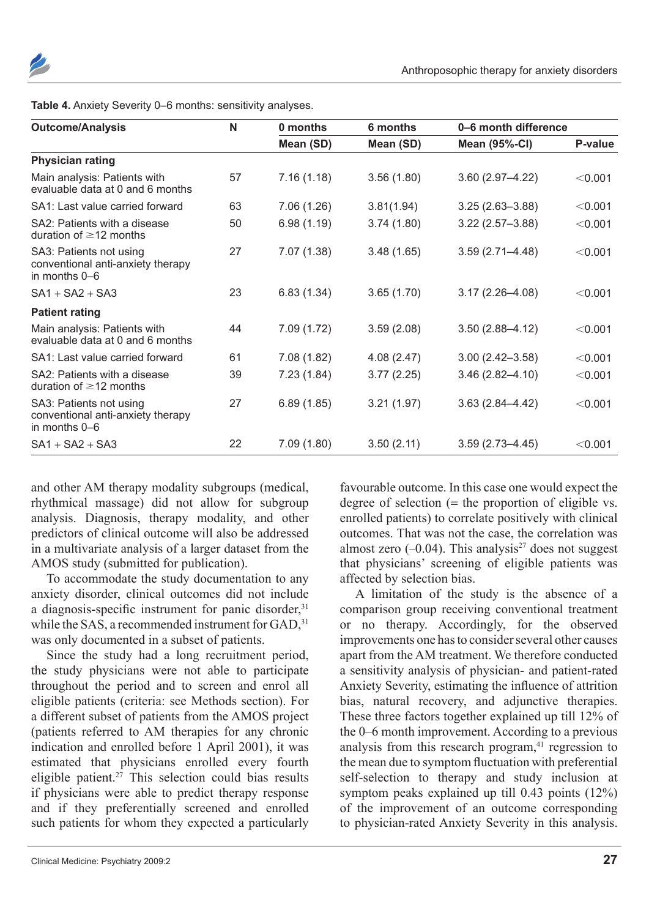| <b>Outcome/Analysis</b>                                                       | N  | 0 months   | 6 months   | 0-6 month difference |         |
|-------------------------------------------------------------------------------|----|------------|------------|----------------------|---------|
|                                                                               |    | Mean (SD)  | Mean (SD)  | <b>Mean (95%-CI)</b> | P-value |
| <b>Physician rating</b>                                                       |    |            |            |                      |         |
| Main analysis: Patients with<br>evaluable data at 0 and 6 months              | 57 | 7.16(1.18) | 3.56(1.80) | $3.60(2.97 - 4.22)$  | < 0.001 |
| SA1: Last value carried forward                                               | 63 | 7.06(1.26) | 3.81(1.94) | $3.25(2.63 - 3.88)$  | < 0.001 |
| SA2: Patients with a disease<br>duration of $\geq$ 12 months                  | 50 | 6.98(1.19) | 3.74(1.80) | $3.22(2.57 - 3.88)$  | < 0.001 |
| SA3: Patients not using<br>conventional anti-anxiety therapy<br>in months 0-6 | 27 | 7.07(1.38) | 3.48(1.65) | $3.59(2.71 - 4.48)$  | < 0.001 |
| $SA1 + SA2 + SA3$                                                             | 23 | 6.83(1.34) | 3.65(1.70) | $3.17(2.26 - 4.08)$  | < 0.001 |
| <b>Patient rating</b>                                                         |    |            |            |                      |         |
| Main analysis: Patients with<br>evaluable data at 0 and 6 months              | 44 | 7.09(1.72) | 3.59(2.08) | $3.50(2.88 - 4.12)$  | < 0.001 |
| SA1: Last value carried forward                                               | 61 | 7.08(1.82) | 4.08(2.47) | $3.00(2.42 - 3.58)$  | < 0.001 |
| SA2: Patients with a disease<br>duration of $\geq$ 12 months                  | 39 | 7.23(1.84) | 3.77(2.25) | $3.46(2.82 - 4.10)$  | < 0.001 |
| SA3: Patients not using<br>conventional anti-anxiety therapy<br>in months 0-6 | 27 | 6.89(1.85) | 3.21(1.97) | $3.63(2.84 - 4.42)$  | < 0.001 |
| $SA1 + SA2 + SA3$                                                             | 22 | 7.09(1.80) | 3.50(2.11) | $3.59(2.73 - 4.45)$  | < 0.001 |

and other AM therapy modality subgroups (medical, rhythmical massage) did not allow for subgroup analysis. Diagnosis, therapy modality, and other predictors of clinical outcome will also be addressed in a multivariate analysis of a larger dataset from the AMOS study (submitted for publication).

To accommodate the study documentation to any anxiety disorder, clinical outcomes did not include a diagnosis-specific instrument for panic disorder.<sup>31</sup> while the SAS, a recommended instrument for GAD, 31 was only documented in a subset of patients.

Since the study had a long recruitment period, the study physicians were not able to participate throughout the period and to screen and enrol all eligible patients (criteria: see Methods section). For a different subset of patients from the AMOS project (patients referred to AM therapies for any chronic indication and enrolled before 1 April 2001), it was estimated that physicians enrolled every fourth eligible patient.<sup>27</sup> This selection could bias results if physicians were able to predict therapy response and if they preferentially screened and enrolled such patients for whom they expected a particularly

favourable outcome. In this case one would expect the degree of selection  $($  = the proportion of eligible vs. enrolled patients) to correlate positively with clinical outcomes. That was not the case, the correlation was almost zero  $(-0.04)$ . This analysis<sup>27</sup> does not suggest that physicians' screening of eligible patients was affected by selection bias.

A limitation of the study is the absence of a comparison group receiving conventional treatment or no therapy. Accordingly, for the observed improvements one has to consider several other causes apart from the AM treatment. We therefore conducted a sensitivity analysis of physician- and patient-rated Anxiety Severity, estimating the influence of attrition bias, natural recovery, and adjunctive therapies. These three factors together explained up till 12% of the 0–6 month improvement. According to a previous analysis from this research program, $41$  regression to the mean due to symptom fluctuation with preferential self-selection to therapy and study inclusion at symptom peaks explained up till 0.43 points (12%) of the improvement of an outcome corresponding to physician-rated Anxiety Severity in this analysis.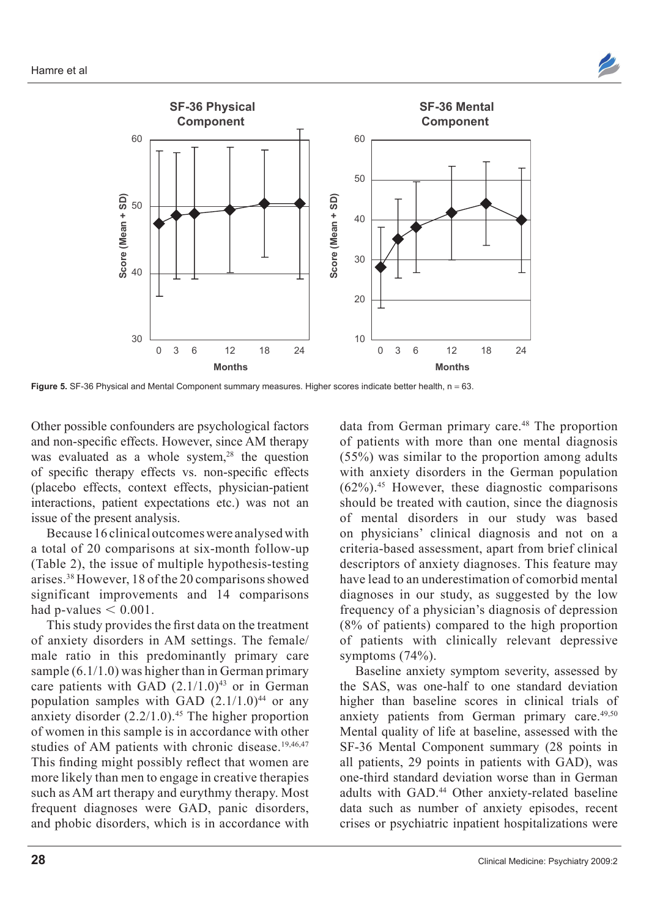



Figure 5. SF-36 Physical and Mental Component summary measures. Higher scores indicate better health, n = 63.

Other possible confounders are psychological factors and non-specific effects. However, since AM therapy was evaluated as a whole system, $28$  the question of specific therapy effects vs. non-specific effects (placebo effects, context effects, physician-patient interactions, patient expectations etc.) was not an issue of the present analysis.

Because 16 clinical outcomes were analysed with a total of 20 comparisons at six-month follow-up (Table 2), the issue of multiple hypothesis-testing arises.38 However, 18 of the 20 comparisons showed significant improvements and 14 comparisons had p-values  $< 0.001$ .

This study provides the first data on the treatment of anxiety disorders in AM settings. The female/ male ratio in this predominantly primary care sample (6.1/1.0) was higher than in German primary care patients with GAD  $(2.1/1.0)^{43}$  or in German population samples with GAD  $(2.1/1.0)^{44}$  or any anxiety disorder  $(2.2/1.0).^{45}$  The higher proportion of women in this sample is in accordance with other studies of AM patients with chronic disease.<sup>19,46,47</sup> This finding might possibly reflect that women are more likely than men to engage in creative therapies such as AM art therapy and eurythmy therapy. Most frequent diagnoses were GAD, panic disorders, and phobic disorders, which is in accordance with data from German primary care.<sup>48</sup> The proportion of patients with more than one mental diagnosis (55%) was similar to the proportion among adults with anxiety disorders in the German population  $(62\%)$ <sup>45</sup> However, these diagnostic comparisons should be treated with caution, since the diagnosis of mental disorders in our study was based on physicians' clinical diagnosis and not on a criteria-based assessment, apart from brief clinical descriptors of anxiety diagnoses. This feature may have lead to an underestimation of comorbid mental diagnoses in our study, as suggested by the low frequency of a physician's diagnosis of depression (8% of patients) compared to the high proportion of patients with clinically relevant depressive symptoms  $(74%)$ .

Baseline anxiety symptom severity, assessed by the SAS, was one-half to one standard deviation higher than baseline scores in clinical trials of anxiety patients from German primary care.<sup>49,50</sup> Mental quality of life at baseline, assessed with the SF-36 Mental Component summary (28 points in all patients, 29 points in patients with GAD), was one-third standard deviation worse than in German adults with GAD.44 Other anxiety-related baseline data such as number of anxiety episodes, recent crises or psychiatric inpatient hospitalizations were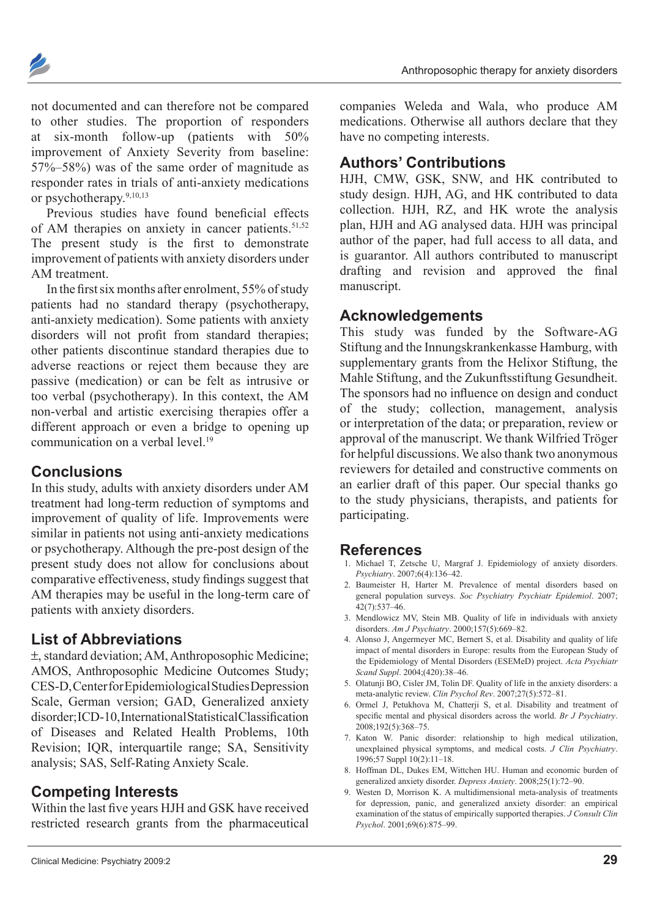

not documented and can therefore not be compared to other studies. The proportion of responders at six-month follow-up (patients with 50% improvement of Anxiety Severity from baseline:  $57\%-58\%$ ) was of the same order of magnitude as responder rates in trials of anti-anxiety medications or psychotherapy.9,10,13

Previous studies have found beneficial effects of AM therapies on anxiety in cancer patients. $51,52$ The present study is the first to demonstrate improvement of patients with anxiety disorders under AM treatment.

In the first six months after enrolment,  $55\%$  of study patients had no standard therapy (psychotherapy, anti-anxiety medication). Some patients with anxiety disorders will not profit from standard therapies; other patients discontinue standard therapies due to adverse reactions or reject them because they are passive (medication) or can be felt as intrusive or too verbal (psychotherapy). In this context, the AM non-verbal and artistic exercising therapies offer a different approach or even a bridge to opening up communication on a verbal level.19

## **Conclusions**

In this study, adults with anxiety disorders under AM treatment had long-term reduction of symptoms and improvement of quality of life. Improvements were similar in patients not using anti-anxiety medications or psychotherapy. Although the pre-post design of the present study does not allow for conclusions about comparative effectiveness, study findings suggest that AM therapies may be useful in the long-term care of patients with anxiety disorders.

# **List of Abbreviations**

 $\pm$ , standard deviation; AM, Anthroposophic Medicine; AMOS, Anthroposophic Medicine Outcomes Study; CES-D, Center for Epidemiological Studies Depression Scale, German version: GAD, Generalized anxiety disorder;ICD-10, International Statistical Classification of Diseases and Related Health Problems, 10th Revision; IQR, interquartile range; SA, Sensitivity analysis; SAS, Self-Rating Anxiety Scale.

# **Competing Interests**

Within the last five years HJH and GSK have received restricted research grants from the pharmaceutical companies Weleda and Wala, who produce AM medications. Otherwise all authors declare that they have no competing interests.

# **Authors' Contributions**

HJH, CMW, GSK, SNW, and HK contributed to study design. HJH, AG, and HK contributed to data collection. HJH, RZ, and HK wrote the analysis plan, HJH and AG analysed data. HJH was principal author of the paper, had full access to all data, and is guarantor. All authors contributed to manuscript drafting and revision and approved the final manuscript.

# **Acknowledgements**

This study was funded by the Software-AG Stiftung and the Innungskrankenkasse Hamburg, with supplementary grants from the Helixor Stiftung, the Mahle Stiftung, and the Zukunftsstiftung Gesundheit. The sponsors had no influence on design and conduct of the study; collection, management, analysis or interpretation of the data; or preparation, review or approval of the manuscript. We thank Wilfried Tröger for helpful discussions. We also thank two anonymous reviewers for detailed and constructive comments on an earlier draft of this paper. Our special thanks go to the study physicians, therapists, and patients for participating.

# **References**

- 1. Michael T, Zetsche U, Margraf J. Epidemiology of anxiety disorders. Psychiatry. 2007;6(4):136-42.
- 2. Baumeister H. Harter M. Prevalence of mental disorders based on general population surveys. *Soc Psychiatry Psychiatr Epidemiol*  $42(7)$  537-46
- 3. Mendlowicz MV, Stein MB. Quality of life in individuals with anxiety disorders. *Am J Psychiatry*. 2000;157(5):669-82.
- 4. Alonso J, Angermeyer MC, Bernert S, et al. Disability and quality of life impact of mental disorders in Europe: results from the European Study of the Epidemiology of Mental Disorders (ESEMeD) project. *Acta Psychiatr*  Scand Suppl. 2004;(420):38-46.
- 5. Olatunii BO, Cisler JM. Tolin DF. Quality of life in the anxiety disorders: a meta-analytic review. *Clin Psychol Rev.* 2007;27(5):572-81.
- 6. Ormel J, Petukhova M, Chatterji S, et al. Disability and treatment of specific mental and physical disorders across the world. Br J Psychiatry. 2008;192(5):368-75.
- 7. Katon W. Panic disorder: relationship to high medical utilization, unexplained physical symptoms, and medical costs. *J Clin Psychiatry*. 1996;57 Suppl  $10(2)$ :11-18.
- 8. Hoffman DL, Dukes EM, Wittchen HU. Human and economic burden of generalized anxiety disorder. *Depress Anxiety*. 2008;25(1):72-90.
- 9. Westen D, Morrison K. A multidimensional meta-analysis of treatments for depression, panic, and generalized anxiety disorder: an empirical examination of the status of empirically supported therapies. *J Consult Clin*  Psychol. 2001;69(6):875-99.

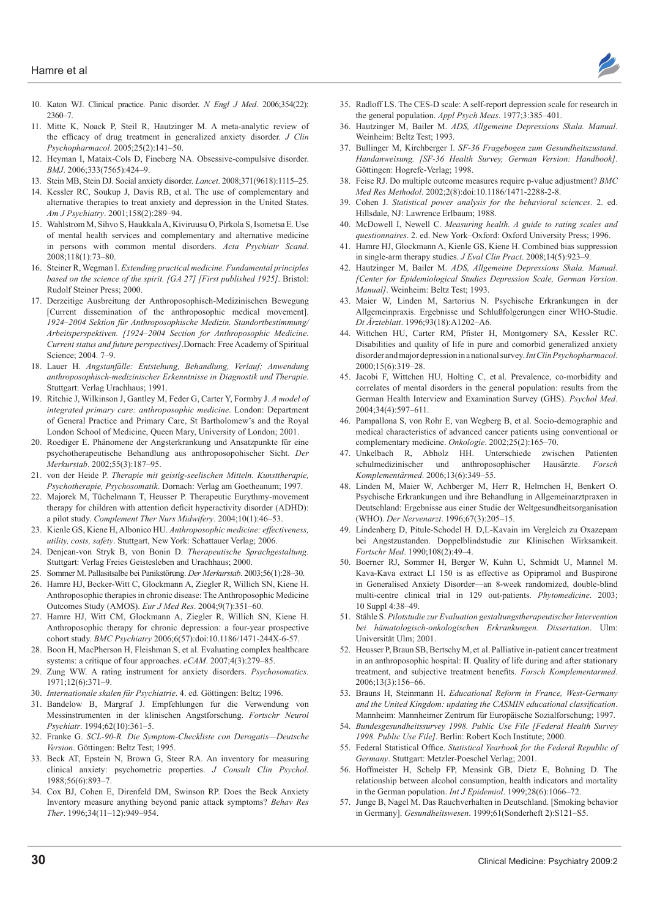

- 10. Katon WJ. Clinical practice. Panic disorder. N Engl J Med. 2006;354(22):  $2360 - 7$
- 11. Mitte K, Noack P, Steil R, Hautzinger M. A meta-analytic review of the efficacy of drug treatment in generalized anxiety disorder. *J Clin* Psychopharmacol. 2005;25(2):141-50.
- 12. Heyman I, Mataix-Cols D, Fineberg NA. Obsessive-compulsive disorder. *BMJ*, 2006:333(7565):424-9.
- 13. Stein MB, Stein DJ. Social anxiety disorder. Lancet. 2008;371(9618):1115-25.
- 14. Kessler RC, Soukup J, Davis RB, et al. The use of complementary and alternative therapies to treat anxiety and depression in the United States. Am J Psychiatry. 2001;158(2):289-94.
- 15. Wahlstrom M, Sihvo S, Haukkala A, Kiviruusu O, Pirkola S, Isometsa E. Use of mental health services and complementary and alternative medicine in persons with common mental disorders. *Acta Psychiatr Scand*. 2008;118(1):73-80.
- 16. Steiner R, Wegman I. *Extending practical medicine. Fundamental principles based on the science of the spirit. [GA 27] [First published 1925]*. Bristol: Rudolf Steiner Press; 2000.
- 17. Derzeitige Ausbreitung der Anthroposophisch-Medizinischen Bewegung [Current dissemination of the anthroposophic medical movement]. *1924–2004 Sektion für Anthroposophische Medizin. Standortbestimmung/ Arbeitsperspektiven. [1924–2004 Section for Anthroposophic Medicine. Current status and future perspectives]*.Dornach: Free Academy of Spiritual Science; 2004. 7-9.
- 18. Lauer H. Angstanfälle: Entstehung, Behandlung, Verlauf; Anwendung *anthroposophisch-medizinischer Erkenntnisse in Diagnostik und Therapie*. Stuttgart: Verlag Urachhaus; 1991.
- 19. Ritchie J, Wilkinson J, Gantley M, Feder G, Carter Y, Formby J. A model of *integrated primary care: anthroposophic medicine*. London: Department of General Practice and Primary Care, St Bartholomew's and the Royal London School of Medicine, Queen Mary, University of London; 2001.
- 20. Roediger E. Phänomene der Angsterkrankung und Ansatzpunkte für eine psychotherapeutische Behandlung aus anthroposopohischer Sicht. *Der*  Merkurstab. 2002;55(3):187-95.
- 21. von der Heide P. Therapie mit geistig-seelischen Mitteln. Kunsttherapie, *Psychotherapie, Psychosomatik*. Dornach: Verlag am Goetheanum; 1997.
- 22. Majorek M, Tüchelmann T, Heusser P. Therapeutic Eurythmy-movement therapy for children with attention deficit hyperactivity disorder (ADHD): a pilot study. *Complement Ther Nurs Midwifery*. 2004;10(1):46-53.
- 23. Kienle GS, Kiene H, Albonico HU. Anthroposophic medicine: effectiveness, utility, costs, safety. Stuttgart, New York: Schattauer Verlag; 2006.
- 24. Denjean-von Stryk B, von Bonin D. *Therapeutische Sprachgestaltung*. Stuttgart: Verlag Freies Geistesleben and Urachhaus; 2000.
- 25. Sommer M. Pallasitsalbe bei Panikstörung. Der Merkurstab. 2003;56(1):28-30.
- 26. Hamre HJ, Becker-Witt C, Glockmann A, Ziegler R, Willich SN, Kiene H. Anthroposophic therapies in chronic disease: The Anthroposophic Medicine Outcomes Study (AMOS). *Eur J Med Res.* 2004;9(7):351-60.
- 27. Hamre HJ, Witt CM, Glockmann A, Ziegler R, Willich SN, Kiene H. Anthroposophic therapy for chronic depression: a four-year prospective cohort study. *BMC Psychiatry* 2006;6(57):doi:10.1186/1471-244X-6-57.
- 28. Boon H, MacPherson H, Fleishman S, et al. Evaluating complex healthcare systems: a critique of four approaches. eCAM. 2007;4(3):279-85.
- 29. Zung WW. A rating instrument for anxiety disorders. Psychosomatics. 1971;12(6):371-9.
- 30. Internationale skalen für Psychiatrie. 4. ed. Göttingen: Beltz; 1996.
- 31. Bandelow B, Margraf J. Empfehlungen fur die Verwendung von Messinstrumenten in der klinischen Angstforschung. *Fortschr Neurol*  Psychiatr. 1994;62(10):361-5.
- 32. Franke G. *SCL-90-R. Die Symptom-Checkliste con Derogatis—Deutsche Version*, Göttingen: Beltz Test: 1995.
- 33. Beck AT, Epstein N, Brown G, Steer RA. An inventory for measuring clinical anxiety: psychometric properties. *J Consult Clin Psychol*. 1988;56(6):893-7.
- 34. Cox BJ, Cohen E, Direnfeld DM, Swinson RP. Does the Beck Anxiety Inventory measure anything beyond panic attack symptoms? *Behav Res*  Ther. 1996;34(11-12):949-954.
- 35. Radloff LS. The CES-D scale: A self-report depression scale for research in the general population. *Appl Psych Meas*. 1977;3:385-401.
- 36. Hautzinger M, Bailer M. *ADS, Allgemeine Depressions Skala. Manual*. Weinheim: Beltz Test; 1993.
- 37. Bullinger M, Kirchberger I. SF-36 Fragebogen zum Gesundheitszustand. *Handanweisung. [SF-36 Health Survey, German Version: Handbook]*. Göttingen: Hogrefe-Verlag; 1998.
- 38. Feise RJ. Do multiple outcome measures require p-value adjustment? *BMC* Med Res Methodol. 2002;2(8):doi:10.1186/1471-2288-2-8.
- 39. Cohen J. Statistical power analysis for the behavioral sciences. 2. ed. Hillsdale, NJ: Lawrence Erlbaum; 1988.
- 40. McDowell I, Newell C. *Measuring health. A guide to rating scales and questionnaires*, 2. ed. New York-Oxford: Oxford University Press: 1996.
- 41. Hamre HJ, Glockmann A, Kienle GS, Kiene H. Combined bias suppression in single-arm therapy studies.  $J\,Eval \, Clin \, Pract.$   $2008;14(5):923-9$ .
- 42. Hautzinger M, Bailer M. *ADS, Allgemeine Depressions Skala. Manual. [Center for Epidemiological Studies Depression Scale, German Version. Manual]*. Weinheim: Beltz Test; 1993.
- 43. Maier W, Linden M, Sartorius N. Psychische Erkrankungen in der Allgemeinpraxis. Ergebnisse und Schlußfolgerungen einer WHO-Studie. Dt Ärzteblatt. 1996;93(18):A1202-A6.
- 44. Wittchen HU, Carter RM, Pfister H, Montgomery SA, Kessler RC. Disabilities and quality of life in pure and comorbid generalized anxiety disorder and major depression in a national survey. *Int Clin Psychopharmacol*. 2000;15(6):319-28.
- 45. Jacobi F, Wittchen HU, Holting C, et al. Prevalence, co-morbidity and correlates of mental disorders in the general population: results from the German Health Interview and Examination Survey (GHS). *Psychol Med*. 2004;34(4):597-611.
- 46. Pampallona S, von Rohr E, van Wegberg B, et al. Socio-demographic and medical characteristics of advanced cancer patients using conventional or complementary medicine. Onkologie. 2002;25(2):165-70.
- 47. Unkelbach R, Abholz HH. Unterschiede zwischen Patienten schulmedizinischer und anthroposophischer Hausärzte. Forsch Komplementärmed. 2006;13(6):349-55.
- 48. Linden M, Maier W, Achberger M, Herr R, Helmchen H, Benkert O. Psychische Erkrankungen und ihre Behandlung in Allgemeinarztpraxen in Deutschland: Ergebnisse aus einer Studie der Weltgesundheitsorganisation (WHO). *Der Nervenarzt*. 1996;67(3):205-15.
- 49. Lindenberg D, Pitule-Schodel H. D,L-Kavain im Vergleich zu Oxazepam bei Angstzustanden. Doppelblindstudie zur Klinischen Wirksamkeit. *Fortschr Med.* 1990:108(2):49-4.
- 50. Boerner RJ, Sommer H, Berger W, Kuhn U, Schmidt U, Mannel M. Kava-Kava extract LI 150 is as effective as Opipramol and Buspirone in Generalised Anxiety Disorder—an 8-week randomized, double-blind multi-centre clinical trial in 129 out-patients. *Phytomedicine* 10 Suppl 4:38-49.
- 51. Stähle S. Pilotstudie zur Evaluation gestaltungstherapeutischer Intervention *bei hämatologisch-onkologischen Erkrankungen. Dissertation.* Ulm: Universität Ulm; 2001.
- 52. Heusser P, Braun SB, Bertschy M, et al. Palliative in-patient cancer treatment in an anthroposophic hospital: II. Quality of life during and after stationary treatment, and subjective treatment benefits. Forsch Komplementarmed. 2006;13(3):156-66.
- 53. Brauns H, Steinmann H. *Educational Reform in France, West-Germany*  and the United Kingdom: updating the CASMIN educational classification. Mannheim: Mannheimer Zentrum für Europäische Sozialforschung; 1997.
- 54. *Bundesgesundheitssurvey 1998. Public Use File [Federal Health Survey*  1998. Public Use File]. Berlin: Robert Koch Institute; 2000.
- 55. Federal Statistical Office. Statistical Yearbook for the Federal Republic of *Germany*. Stuttgart: Metzler-Poeschel Verlag; 2001.
- 56. Hoffmeister H, Schelp FP, Mensink GB, Dietz E, Bohning D. The relationship between alcohol consumption, health indicators and mortality in the German population. *Int J Epidemiol*. 1999;28(6):1066-72.
- 57. Junge B, Nagel M. Das Rauchverhalten in Deutschland. [Smoking behavior] in Germany]. *Gesundheitswesen*. 1999;61(Sonderheft 2):S121-S5.